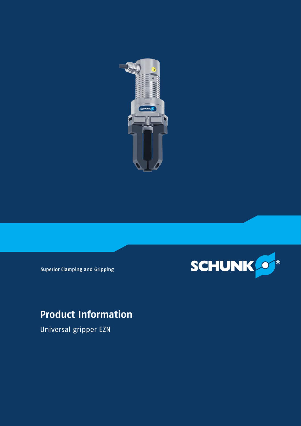



**Superior Clamping and Gripping** 

# **Product Information**

Universal gripper EZN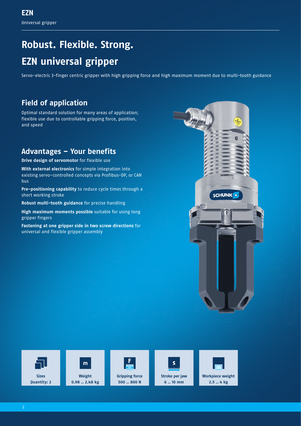# **Robust. Flexible. Strong. EZN universal gripper**

Servo-electric 3-finger centric gripper with high gripping force and high maximum moment due to multi-tooth guidance

# **Field of application**

Optimal standard solution for many areas of application; flexible use due to controllable gripping force, position, and speed

# **Advantages – Your benefits**

**Drive design of servomotor** for flexible use

**With external electronics** for simple integration into existing servo-controlled concepts via Profibus-DP, or CAN bus

**Pre-positioning capability** to reduce cycle times through a short working stroke

**Robust multi-tooth guidance** for precise handling

**High maximum moments possible** suitable for using long gripper fingers

**Fastening at one gripper side in two screw directions** for universal and flexible gripper assembly











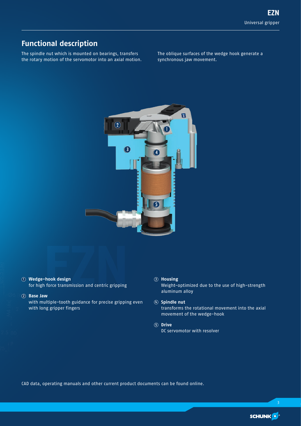# **Functional description**

The spindle nut which is mounted on bearings, transfers the rotary motion of the servomotor into an axial motion.

The oblique surfaces of the wedge hook generate a synchronous jaw movement.



### 1 **Wedge-hook design**

**Finally design<br>Theok design<br>NM** for high force transmission and centric gripping

### 2 **Base Jaw**

with multiple-tooth guidance for precise gripping even with long gripper fingers

### 3 **Housing**

Weight-optimized due to the use of high-strength aluminum alloy

### 4 **Spindle nut** transforms the rotational movement into the axial movement of the wedge-hook

5 **Drive** DC servomotor with resolver

CAD data, operating manuals and other current product documents can be found online.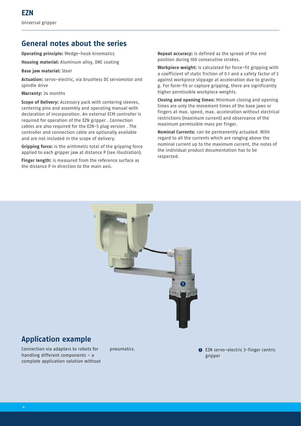### **General notes about the series**

**Operating principle:** Wedge-hook kinematics

**Housing material:** Aluminum alloy, DNC coating

**Base jaw material:** Steel

**Actuation:** servo-electric, via brushless DC servomotor and spindle drive

**Warranty:** 24 months

**Scope of Delivery:** Accessory pack with centering sleeves, centering pins and assembly and operating manual with declaration of incorporation. An external ECM controller is required for operation of the EZN gripper . Connection cables are also required for the EZN-S plug version . The controller and connection cable are optionally available and are not included in the scope of delivery.

**Gripping force:** is the arithmetic total of the gripping force applied to each gripper jaw at distance P (see illustration).

**Finger length:** is measured from the reference surface as the distance P in direction to the main axis.

**Repeat accuracy:** is defined as the spread of the end position during 100 consecutive strokes.

**Workpiece weight:** is calculated for force-fit gripping with a coefficient of static friction of 0.1 and a safety factor of 2 against workpiece slippage at acceleration due to gravity g. For form-fit or capture gripping, there are significantly higher permissible workpiece weights.

**Closing and opening times:** Minimum closing and opening times are only the movement times of the base jaws or fingers at max. speed, max. acceleration without electrical restrictions (maximum current) and observance of the maximum permissible mass per finger.

**Nominal Currents:** can be permanently actuated. With regard to all the currents which are ranging above the nominal current up to the maximum current, the notes of the individual product documentation has to be respected.



### **Application example**

Connection via adapters to robots for handling different components – a complete application solution without

pneumatics. 1 EXN servo-electric 3-finger centric gripper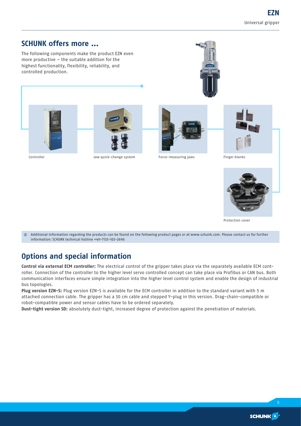### **SCHUNK offers more ...**

The following components make the product EZN even more productive – the suitable addition for the highest functionality, flexibility, reliability, and controlled production.





Controller **Controller** Jaw quick-change system Force-measuring jaws Finger blanks







Protection cover

 $\circledA$  Additional information regarding the products can be found on the following product pages or at www.schunk.com. Please contact us for further information: SCHUNK technical hotline +49-7133-103-2696

# **Options and special information**

**Control via external ECM controller:** The electrical control of the gripper takes place via the separately available ECM controller. Connection of the controller to the higher level servo controlled concept can take place via Profibus or CAN bus. Both communication interfaces ensure simple integration into the higher level control system and enable the design of industrial bus topologies.

**Plug version EZN-S:** Plug version EZN-S is available for the ECM controller in addition to the standard variant with 5 m attached connection cable. The gripper has a 30 cm cable and stepped Y-plug in this version. Drag-chain-compatible or robot-compatible power and sensor cables have to be ordered separately.

**Dust-tight version SD:** absolutely dust-tight, increased degree of protection against the penetration of materials.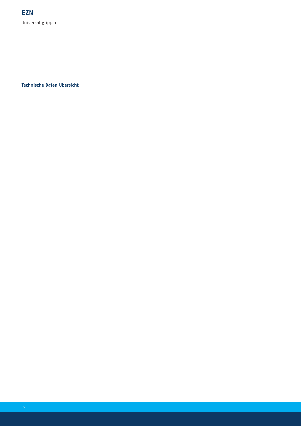**Technische Daten Übersicht**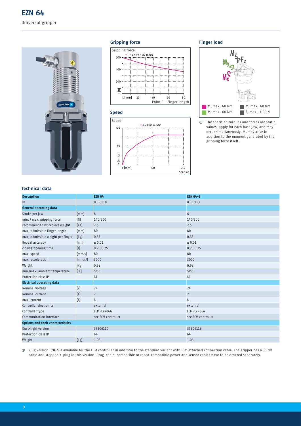

### **Gripping force**







### **Finger load**



**1** The specified torques and forces are static values, apply for each base jaw, and may occur simultaneously.  $M_v$  may arise in addition to the moment generated by the gripping force itself.

### **Technical data**

| <b>Description</b>                       |                      | <b>EZN 64</b>      | <b>EZN 64-S</b>    |
|------------------------------------------|----------------------|--------------------|--------------------|
| ID                                       |                      | 0306110            | 0306113            |
| <b>General operating data</b>            |                      |                    |                    |
| Stroke per jaw                           | [mm]                 | $6\phantom{1}$     | $6\phantom{a}$     |
| min. / max. gripping force               | [N]                  | 140/500            | 140/500            |
| recommended workpiece weight             | [kg]                 | 2.5                | 2.5                |
| max. admissible finger length            | [mm]                 | 80                 | 80                 |
| max. admissible weight per finger        | [kg]                 | 0.35               | 0.35               |
| Repeat accuracy                          | [mm]                 | ± 0.01             | ± 0.01             |
| closing/opening time                     | [s]                  | 0.25/0.25          | 0.25/0.25          |
| max. speed                               | [mm/s]               | 80                 | 80                 |
| max. acceleration                        | [mm/s <sup>2</sup> ] | 3000               | 3000               |
| Weight                                   | [kg]                 | 0.98               | 0.98               |
| min./max. ambient temperature            | [°C]                 | 5/55               | 5/55               |
| Protection class IP                      |                      | 41                 | 41                 |
| <b>Electrical operating data</b>         |                      |                    |                    |
| Nominal voltage                          | $[V]$                | 24                 | 24                 |
| Nominal current                          | [A]                  | $\overline{2}$     | $\overline{2}$     |
| max. current                             | [A]                  | 4                  | 4                  |
| Controller electronics                   |                      | external           | external           |
| Controller type                          |                      | ECM-EZN064         | ECM-EZN064         |
| Communication interface                  |                      | see ECM controller | see ECM controller |
| <b>Options and their characteristics</b> |                      |                    |                    |
| Dust-tight version                       |                      | 37306110           | 37306113           |
| Protection class IP                      |                      | 64                 | 64                 |
| Weight                                   | [kg]                 | 1.08               | 1.08               |

i Plug version EZN-S is available for the ECM controller in addition to the standard variant with 5 m attached connection cable. The gripper has a 30 cm cable and stepped Y-plug in this version. Drag-chain-compatible or robot-compatible power and sensor cables have to be ordered separately.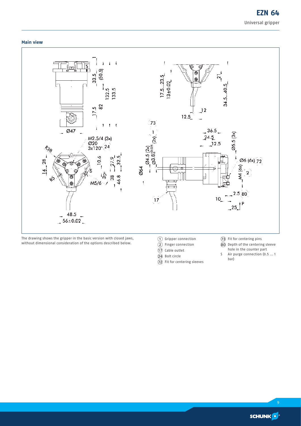### **Main view**



- $\overline{D}$  Cable outlet
- $\overline{24}$  Bolt circle
- $\widetilde{2}$  Fit for centering sleeves
- hole in the counter part
- S Air purge connection (0.5 ... 1 bar)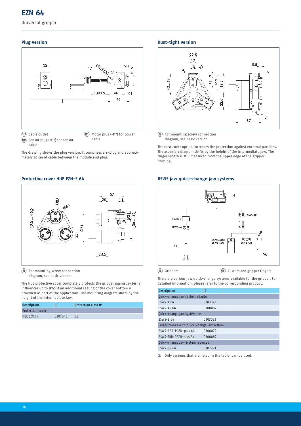Universal gripper

### **Plug version**



cable

The drawing shows the plug version. It comprises a Y-plug and approximately 30 cm of cable between the module and plug.

### **Protective cover HUE EZN-S 64**



9 For mounting screw connection diagram, see basic version

The HUE protective cover completely protects the gripper against external influences up to IP65 if an additional sealing of the cover bottom is provided as part of the application. The mounting diagram shifts by the height of the intermediate jaw.

| <b>Description</b>      |         | <b>Protection class IP</b> |
|-------------------------|---------|----------------------------|
| <b>Protection cover</b> |         |                            |
| HUE EZN 64              | 0307043 | 65                         |

### **Dust-tight version**



9 For mounting screw connection diagram, see basic version

The dust cover option increases the protection against external particles. The assembly diagram shifts by the height of the intermediate jaw. The finger length is still measured from the upper edge of the gripper housing.

#### **BSWS jaw quick-change jaw systems**



 $\overline{4}$  Grippers  $\overline{90}$  Customized gripper fingers

There are various jaw quick-change systems available for the gripper. For detailed information, please refer to the corresponding product.

| ID                               |                                            |  |  |  |
|----------------------------------|--------------------------------------------|--|--|--|
| Quick-change jaw system adapter  |                                            |  |  |  |
| 0303022                          |                                            |  |  |  |
| 0300092                          |                                            |  |  |  |
| Quick-change jaw system base     |                                            |  |  |  |
| 0303023                          |                                            |  |  |  |
|                                  |                                            |  |  |  |
| 0300072                          |                                            |  |  |  |
| 0300082                          |                                            |  |  |  |
| Quick-change Jaw System reversed |                                            |  |  |  |
| 0302991                          |                                            |  |  |  |
|                                  | Finger blanks with quick-change jaw system |  |  |  |

 $\odot$  Only systems that are listed in the table, can be used.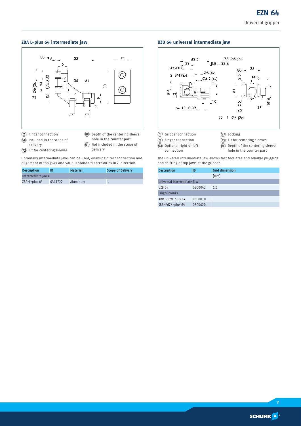### **ZBA L-plus 64 intermediate jaw**



- $(72)$  Fit for centering sleeves
- delivery

Optionally intermediate jaws can be used, enabling direct connection and alignment of top jaws and various standard accessories in Z-direction.

| <b>Description</b> |         | <b>Material</b> | Scope of Delivery |
|--------------------|---------|-----------------|-------------------|
| Intermediate jaws  |         |                 |                   |
| ZBA-L-plus 64      | 0311722 | Aluminum        |                   |

### **UZB 64 universal intermediate jaw**



The universal intermediate jaw allows fast tool-free and reliable plugging and shifting of top jaws at the gripper.

| <b>Description</b>         | ID      | <b>Grid dimension</b> |  |
|----------------------------|---------|-----------------------|--|
|                            |         | [mm]                  |  |
| Universal intermediate jaw |         |                       |  |
| <b>UZB 64</b>              | 0300042 | 1.5                   |  |
| <b>Finger blanks</b>       |         |                       |  |
| ABR-PGZN-plus 64           | 0300010 |                       |  |
| SBR-PGZN-plus 64           | 0300020 |                       |  |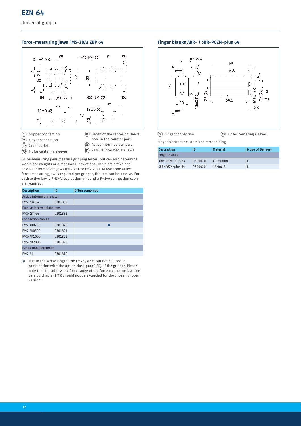Universal gripper

### **Force-measuring jaws FMS-ZBA/ ZBP 64**



- 
- 80 Depth of the centering sleeve hole in the counter part
- (2) Finger connection
- (17) Cable outlet
- **90** Active intermediate jaws
- $(72)$  Fit for centering sleeves
- $\overline{91}$  Passive intermediate jaws
- Force-measuring jaws measure gripping forces, but can also determine workpiece weights or dimensional deviations. There are active and passive intermediate jaws (FMS-ZBA or FMS-ZBP). At least one active force-measuring jaw is required per gripper, the rest can be passive. For each active jaw, a FMS-A1 evaluation unit and a FMS-A connection cable are required.

| <b>Description</b>            | ID      | <b>Often combined</b> |  |  |
|-------------------------------|---------|-----------------------|--|--|
| Active intermediate jaws      |         |                       |  |  |
| FMS-ZBA 64                    | 0301832 |                       |  |  |
| Passive intermediate jaws     |         |                       |  |  |
| FMS-ZBP 64                    | 0301833 |                       |  |  |
| Connection cables             |         |                       |  |  |
| FMS-AK0200                    | 0301820 |                       |  |  |
| FMS-AK0500                    | 0301821 |                       |  |  |
| <b>FMS-AK1000</b>             | 0301822 |                       |  |  |
| <b>FMS-AK2000</b>             | 0301823 |                       |  |  |
| <b>Evaluation electronics</b> |         |                       |  |  |
| FMS-A1                        | 0301810 |                       |  |  |

 $\circledR$  Due to the screw length, the FMS system can not be used in combination with the option dust-proof (SD) of the gripper. Please note that the admissible force range of the force measuring jaw (see catalog chapter FMS) should not be exceeded for the chosen gripper version.

### **Finger blanks ABR- / SBR-PGZN-plus 64**



 $(2)$  Finger connection  $(72)$  Fit for centering sleeves

Finger blanks for customized remachining.

| <b>Description</b>   | ID      | <b>Material</b> | <b>Scope of Delivery</b> |
|----------------------|---------|-----------------|--------------------------|
| <b>Finger blanks</b> |         |                 |                          |
| ABR-PGZN-plus 64     | 0300010 | Aluminum        |                          |
| SBR-PGZN-plus 64     | 0300020 | 16MnCr5         |                          |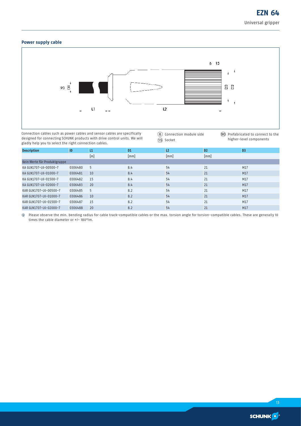### **Power supply cable**



Connection cables such as power cables and sensor cables are specifically designed for connecting SCHUNK products with drive control units. We will gladly help you to select the right connection cables.

6 Connection module side AO Socket

**90** Prefabricated to connect to the higher-level components

| <b>Description</b>           | <b>ID</b> | L1  | D <sub>1</sub> | L <sub>2</sub> | D <sub>2</sub> | D <sub>3</sub> |
|------------------------------|-----------|-----|----------------|----------------|----------------|----------------|
|                              |           | [m] | [mm]           | [mm]           | [mm]           |                |
| Kein Werte für Produktgruppe |           |     |                |                |                |                |
| KA GLN1707-LK-00500-7        | 0306480   | 5   | 8.4            | 54             | 21             | M17            |
| KA GLN1707-LK-01000-7        | 0306481   | 10  | 8.4            | 54             | 21             | M17            |
| KA GLN1707-LK-01500-7        | 0306482   | 15  | 8.4            | 54             | 21             | M17            |
| KA GLN1707-LK-02000-7        | 0306483   | 20  | 8.4            | 54             | 21             | M17            |
| KAR GLN1707-LK-00500-7       | 0306485   | 5   | 8.2            | 54             | 21             | M17            |
| KAR GLN1707-LK-01000-7       | 0306486   | 10  | 8.2            | 54             | 21             | M17            |
| KAR GLN1707-LK-01500-7       | 0306487   | 15  | 8.2            | 54             | 21             | M17            |
| KAR GLN1707-LK-02000-7       | 0306488   | 20  | 8.2            | 54             | 21             | M17            |

i Please observe the min. bending radius for cable track-compatible cables or the max. torsion angle for torsion-compatible cables. These are generally 10 times the cable diameter or +/- 180°/m.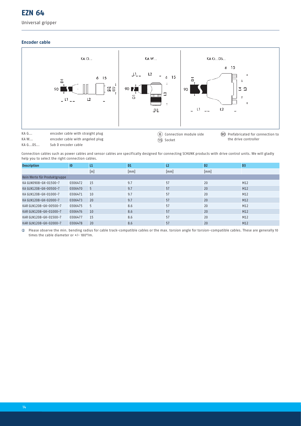### **EZN 64**

### **Encoder cable**



Connection cables such as power cables and sensor cables are specifically designed for connecting SCHUNK products with drive control units. We will gladly help you to select the right connection cables.

| <b>Description</b>           | ID      | L1  | D <sub>1</sub> | L <sub>2</sub> | D <sub>2</sub> | D <sub>3</sub> |
|------------------------------|---------|-----|----------------|----------------|----------------|----------------|
|                              |         | [m] | [mm]           | [mm]           | [mm]           |                |
| Kein Werte für Produktgruppe |         |     |                |                |                |                |
| KA GLN0908-GK-01500-7        | 0306472 | 15  | 9.7            | 57             | 20             | M12            |
| KA GLN1208-GK-00500-7        | 0306470 | 5   | 9.7            | 57             | 20             | M12            |
| KA GLN1208-GK-01000-7        | 0306471 | 10  | 9.7            | 57             | 20             | M12            |
| KA GLN1208-GK-02000-7        | 0306473 | 20  | 9.7            | 57             | 20             | M12            |
| KAR GLN1208-GK-00500-7       | 0306475 | 5   | 8.6            | 57             | 20             | M12            |
| KAR GLN1208-GK-01000-7       | 0306476 | 10  | 8.6            | 57             | 20             | M12            |
| KAR GLN1208-GK-01500-7       | 0306477 | 15  | 8.6            | 57             | 20             | M12            |
| KAR GLN1208-GK-02000-7       | 0306478 | 20  | 8.6            | 57             | 20             | M12            |

i Please observe the min. bending radius for cable track-compatible cables or the max. torsion angle for torsion-compatible cables. These are generally 10 times the cable diameter or +/- 180°/m.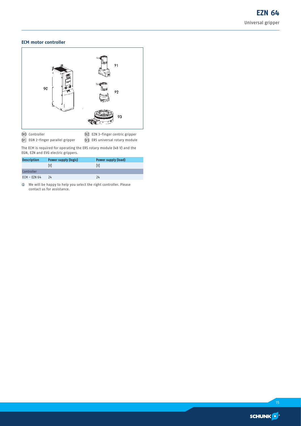### **ECM motor controller**



**90** Controller

<sup>(92)</sup> EZN 3-finger centric gripper

 $\widetilde{91}$  EGN 2-finger parallel gripper  $\widetilde{\mathcal{Q}}$  ERS universal rotary module The ECM is required for operating the ERS rotary module (48 V) and the

EGN, EZN and EVG electric grippers.

| <b>Description</b> | Power supply (logic) | <b>Power supply (load)</b> |
|--------------------|----------------------|----------------------------|
|                    | ГVІ                  | ГVІ                        |
| Controller         |                      |                            |
| $ECM - EZN 64$     | 24                   | 24                         |

 $\circledR$  We will be happy to help you select the right controller. Please contact us for assistance.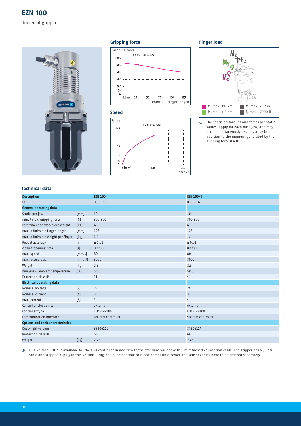

### **Gripping force**







### **Finger load**



**1** The specified torques and forces are static values, apply for each base jaw, and may occur simultaneously.  $M_v$  may arise in addition to the moment generated by the gripping force itself.

### **Technical data**

| <b>Description</b>                       |                      | <b>EZN 100</b>     | <b>EZN 100-S</b>   |
|------------------------------------------|----------------------|--------------------|--------------------|
| ID                                       |                      | 0306112            | 0306114            |
| <b>General operating data</b>            |                      |                    |                    |
| Stroke per jaw                           | [mm]                 | 10                 | 10                 |
| min. / max. gripping force               | [N]                  | 300/800            | 300/800            |
| recommended workpiece weight             | [kg]                 | 4                  | 4                  |
| max. admissible finger length            | [mm]                 | 125                | 125                |
| max. admissible weight per finger        | [kg]                 | 1.1                | 1.1                |
| Repeat accuracy                          | [mm]                 | ± 0.01             | ± 0.01             |
| closing/opening time                     | [s]                  | 0.4/0.4            | 0.4/0.4            |
| max. speed                               | [mm/s]               | 80                 | 80                 |
| max. acceleration                        | [mm/s <sup>2</sup> ] | 3000               | 3000               |
| Weight                                   | [kg]                 | 2.3                | 2.3                |
| min./max. ambient temperature            | [°C]                 | 5/55               | 5/55               |
| Protection class IP                      |                      | 41                 | 41                 |
| <b>Electrical operating data</b>         |                      |                    |                    |
| Nominal voltage                          | $[V]$                | 24                 | 24                 |
| Nominal current                          | [A]                  | $\overline{3}$     | $\overline{3}$     |
| max. current                             | [A]                  | 4                  | 4                  |
| Controller electronics                   |                      | external           | external           |
| Controller type                          |                      | ECM-EZN100         | ECM-EZN100         |
| Communication interface                  |                      | see ECM controller | see ECM controller |
| <b>Options and their characteristics</b> |                      |                    |                    |
| Dust-tight version                       |                      | 37306112           | 37306114           |
| Protection class IP                      |                      | 64                 | 64                 |
| Weight                                   | [kg]                 | 2.48               | 2.48               |

i Plug version EZN-S is available for the ECM controller in addition to the standard variant with 5 m attached connection cable. The gripper has a 30 cm cable and stepped Y-plug in this version. Drag-chain-compatible or robot-compatible power and sensor cables have to be ordered separately.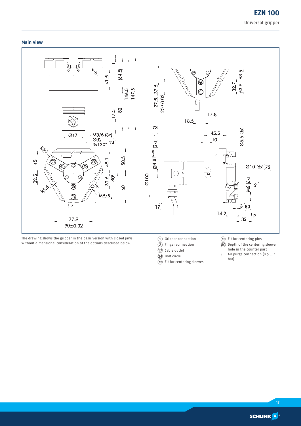### **Main view**



The drawing shows the gripper in the basic version with closed jaws, without dimensional consideration of the options described below.

- 1 Gripper connection
- $\overline{2}$  Finger connection
- $\widehat{D}$  Cable outlet
- 24 Bolt circle  $(72)$  Fit for centering sleeves
- $\widehat{2}$  Fit for centering pins
- $\widehat{\mathbf{80}}$  Depth of the centering sleeve hole in the counter part
- S Air purge connection (0.5 ... 1
- bar)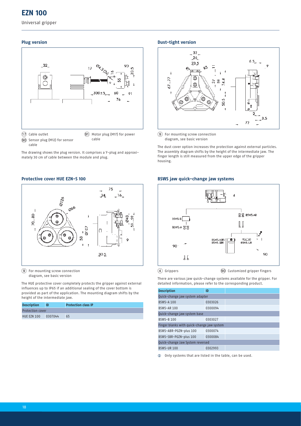### **EZN 100**

Universal gripper

### **Plug version**



cable

The drawing shows the plug version. It comprises a Y-plug and approximately 30 cm of cable between the module and plug.

### **Protective cover HUE EZN-S 100**



9 For mounting screw connection diagram, see basic version

The HUE protective cover completely protects the gripper against external influences up to IP65 if an additional sealing of the cover bottom is provided as part of the application. The mounting diagram shifts by the height of the intermediate jaw.

| <b>Description</b>      | ID      | <b>Protection class IP</b> |
|-------------------------|---------|----------------------------|
| <b>Protection cover</b> |         |                            |
| <b>HUE EZN 100</b>      | 0307044 | 65                         |

### **Dust-tight version**



9 For mounting screw connection diagram, see basic version

The dust cover option increases the protection against external particles. The assembly diagram shifts by the height of the intermediate jaw. The finger length is still measured from the upper edge of the gripper housing.

#### **BSWS jaw quick-change jaw systems**



 $\widehat{a}$  Grippers  $\widehat{90}$  Customized gripper fingers

There are various jaw quick-change systems available for the gripper. For detailed information, please refer to the corresponding product.

| <b>Description</b>                         | ID      |  |  |
|--------------------------------------------|---------|--|--|
| Quick-change jaw system adapter            |         |  |  |
| <b>BSWS-A 100</b>                          | 0303026 |  |  |
| <b>BSWS-AR 100</b>                         | 0300094 |  |  |
| Quick-change jaw system base               |         |  |  |
| <b>BSWS-B 100</b>                          | 0303027 |  |  |
| Finger blanks with quick-change jaw system |         |  |  |
| BSWS-ABR-PGZN-plus 100                     | 0300074 |  |  |
| BSWS-SBR-PGZN-plus 100                     | 0300084 |  |  |
| Quick-change Jaw System reversed           |         |  |  |
| <b>BSWS-UR100</b>                          | 0302993 |  |  |

 $\odot$  Only systems that are listed in the table, can be used.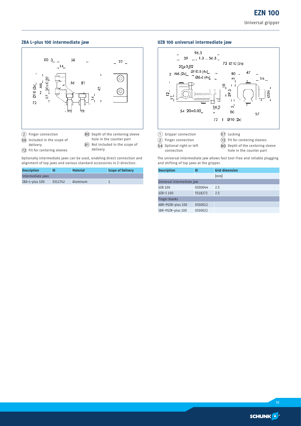### **ZBA L-plus 100 intermediate jaw**



- delivery
- 
- $(72)$  Fit for centering sleeves
- $\circledR$  Not included in the scope of delivery

Optionally intermediate jaws can be used, enabling direct connection and alignment of top jaws and various standard accessories in Z-direction.

| <b>Description</b> |         | <b>Material</b> | Scope of Delivery |
|--------------------|---------|-----------------|-------------------|
| Intermediate jaws  |         |                 |                   |
| ZBA-L-plus 100     | 0311742 | Aluminum        |                   |

### **UZB 100 universal intermediate jaw**



 $\overline{64}$  Optional right or left

connection

- $\widehat{80}$  Depth of the centering sleeve
	- hole in the counter part

The universal intermediate jaw allows fast tool-free and reliable plugging and shifting of top jaws at the gripper.

| <b>Description</b>         | ID      | <b>Grid dimension</b> |  |  |  |
|----------------------------|---------|-----------------------|--|--|--|
|                            |         | [mm]                  |  |  |  |
| Universal intermediate jaw |         |                       |  |  |  |
| <b>UZB 100</b>             | 0300044 | 2.5                   |  |  |  |
| <b>UZB-S 100</b>           | 5518272 | 2.5                   |  |  |  |
| <b>Finger blanks</b>       |         |                       |  |  |  |
| ABR-PGZN-plus 100          | 0300012 |                       |  |  |  |
| SBR-PGZN-plus 100          | 0300022 |                       |  |  |  |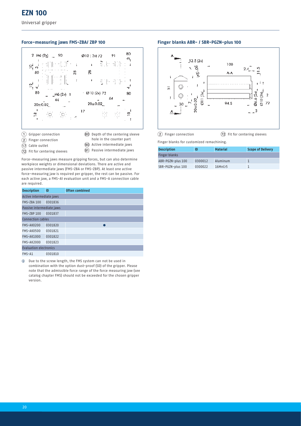Universal gripper

### **Force-measuring jaws FMS-ZBA/ ZBP 100**



- 1 Gripper connection
- 80 Depth of the centering sleeve
- (2) Finger connection
- (17) Cable outlet
- hole in the counter part
- 
- $(72)$  Fit for centering sleeves
- **90** Active intermediate jaws  $\overline{91}$  Passive intermediate jaws
- Force-measuring jaws measure gripping forces, but can also determine workpiece weights or dimensional deviations. There are active and passive intermediate jaws (FMS-ZBA or FMS-ZBP). At least one active force-measuring jaw is required per gripper, the rest can be passive. For each active jaw, a FMS-A1 evaluation unit and a FMS-A connection cable are required.

| <b>Description</b>            | ID      | <b>Often combined</b> |  |  |
|-------------------------------|---------|-----------------------|--|--|
| Active intermediate jaws      |         |                       |  |  |
| <b>FMS-ZBA 100</b>            | 0301836 |                       |  |  |
| Passive intermediate jaws     |         |                       |  |  |
| <b>FMS-ZBP 100</b>            | 0301837 |                       |  |  |
| <b>Connection cables</b>      |         |                       |  |  |
| FMS-AK0200                    | 0301820 |                       |  |  |
| FMS-AK0500                    | 0301821 |                       |  |  |
| <b>FMS-AK1000</b>             | 0301822 |                       |  |  |
| <b>FMS-AK2000</b>             | 0301823 |                       |  |  |
| <b>Evaluation electronics</b> |         |                       |  |  |
| FMS-A1                        | 0301810 |                       |  |  |

 $①$  Due to the screw length, the FMS system can not be used in combination with the option dust-proof (SD) of the gripper. Please note that the admissible force range of the force measuring jaw (see catalog chapter FMS) should not be exceeded for the chosen gripper version.

#### **Finger blanks ABR- / SBR-PGZN-plus 100**



 $(2)$  Finger connection  $(72)$  Fit for centering sleeves

Finger blanks for customized remachining.

| <b>Description</b>   | ID      | <b>Material</b> | <b>Scope of Delivery</b> |
|----------------------|---------|-----------------|--------------------------|
| <b>Finger blanks</b> |         |                 |                          |
| ABR-PGZN-plus 100    | 0300012 | Aluminum        |                          |
| SBR-PGZN-plus 100    | 0300022 | 16MnCr5         |                          |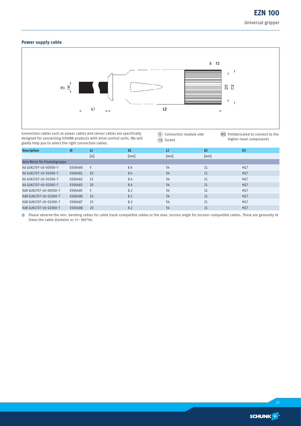### **Power supply cable**



Connection cables such as power cables and sensor cables are specifically designed for connecting SCHUNK products with drive control units. We will gladly help you to select the right connection cables.

6 Connection module side AO Socket

**90** Prefabricated to connect to the higher-level components

| <b>Description</b>           | ID      | L1  | D <sub>1</sub> | L <sub>2</sub> | D <sub>2</sub> | D <sub>3</sub> |
|------------------------------|---------|-----|----------------|----------------|----------------|----------------|
|                              |         | [m] | [mm]           | [mm]           | [mm]           |                |
| Kein Werte für Produktgruppe |         |     |                |                |                |                |
| KA GLN1707-LK-00500-7        | 0306480 | 5   | 8.4            | 54             | 21             | M17            |
| KA GLN1707-LK-01000-7        | 0306481 | 10  | 8.4            | 54             | 21             | M17            |
| KA GLN1707-LK-01500-7        | 0306482 | 15  | 8.4            | 54             | 21             | M17            |
| KA GLN1707-LK-02000-7        | 0306483 | 20  | 8.4            | 54             | 21             | M17            |
| KAR GLN1707-LK-00500-7       | 0306485 | 5   | 8.2            | 54             | 21             | M17            |
| KAR GLN1707-LK-01000-7       | 0306486 | 10  | 8.2            | 54             | 21             | M17            |
| KAR GLN1707-LK-01500-7       | 0306487 | 15  | 8.2            | 54             | 21             | M17            |
| KAR GLN1707-LK-02000-7       | 0306488 | 20  | 8.2            | 54             | 21             | M17            |

i Please observe the min. bending radius for cable track-compatible cables or the max. torsion angle for torsion-compatible cables. These are generally 10 times the cable diameter or +/- 180°/m.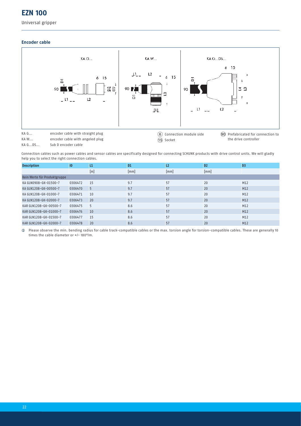### **EZN 100**

### Universal gripper

### **Encoder cable**



Connection cables such as power cables and sensor cables are specifically designed for connecting SCHUNK products with drive control units. We will gladly help you to select the right connection cables.

| <b>Description</b>           | ID      | L1  | D <sub>1</sub> | L <sub>2</sub> | D <sub>2</sub> | D <sub>3</sub> |
|------------------------------|---------|-----|----------------|----------------|----------------|----------------|
|                              |         | [m] | [mm]           | [mm]           | [mm]           |                |
| Kein Werte für Produktgruppe |         |     |                |                |                |                |
| KA GLN0908-GK-01500-7        | 0306472 | 15  | 9.7            | 57             | 20             | M12            |
| KA GLN1208-GK-00500-7        | 0306470 | 5   | 9.7            | 57             | 20             | M12            |
| KA GLN1208-GK-01000-7        | 0306471 | 10  | 9.7            | 57             | 20             | M12            |
| KA GLN1208-GK-02000-7        | 0306473 | 20  | 9.7            | 57             | 20             | M12            |
| KAR GLN1208-GK-00500-7       | 0306475 | 5   | 8.6            | 57             | 20             | M12            |
| KAR GLN1208-GK-01000-7       | 0306476 | 10  | 8.6            | 57             | 20             | M12            |
| KAR GLN1208-GK-01500-7       | 0306477 | 15  | 8.6            | 57             | 20             | M12            |
| KAR GLN1208-GK-02000-7       | 0306478 | 20  | 8.6            | 57             | 20             | M12            |

i Please observe the min. bending radius for cable track-compatible cables or the max. torsion angle for torsion-compatible cables. These are generally 10 times the cable diameter or +/- 180°/m.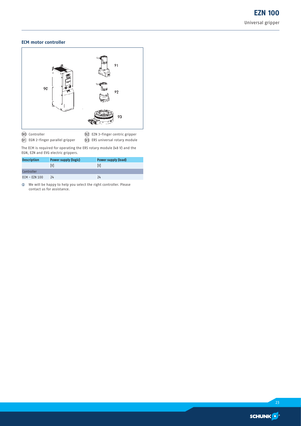### **ECM motor controller**



**90** Controller

<sup>(92)</sup> EZN 3-finger centric gripper

 $\widetilde{91}$  EGN 2-finger parallel gripper  $\widetilde{\mathcal{Q}}$  ERS universal rotary module The ECM is required for operating the ERS rotary module (48 V) and the

EGN, EZN and EVG electric grippers.

| <b>Description</b> | <b>Power supply (logic)</b> | Power supply (load) |
|--------------------|-----------------------------|---------------------|
|                    | ГV                          | ГVІ                 |
| Controller         |                             |                     |
| $ECM - EZN 100$    | 24                          | 24                  |

 $\circledR$  We will be happy to help you select the right controller. Please contact us for assistance.